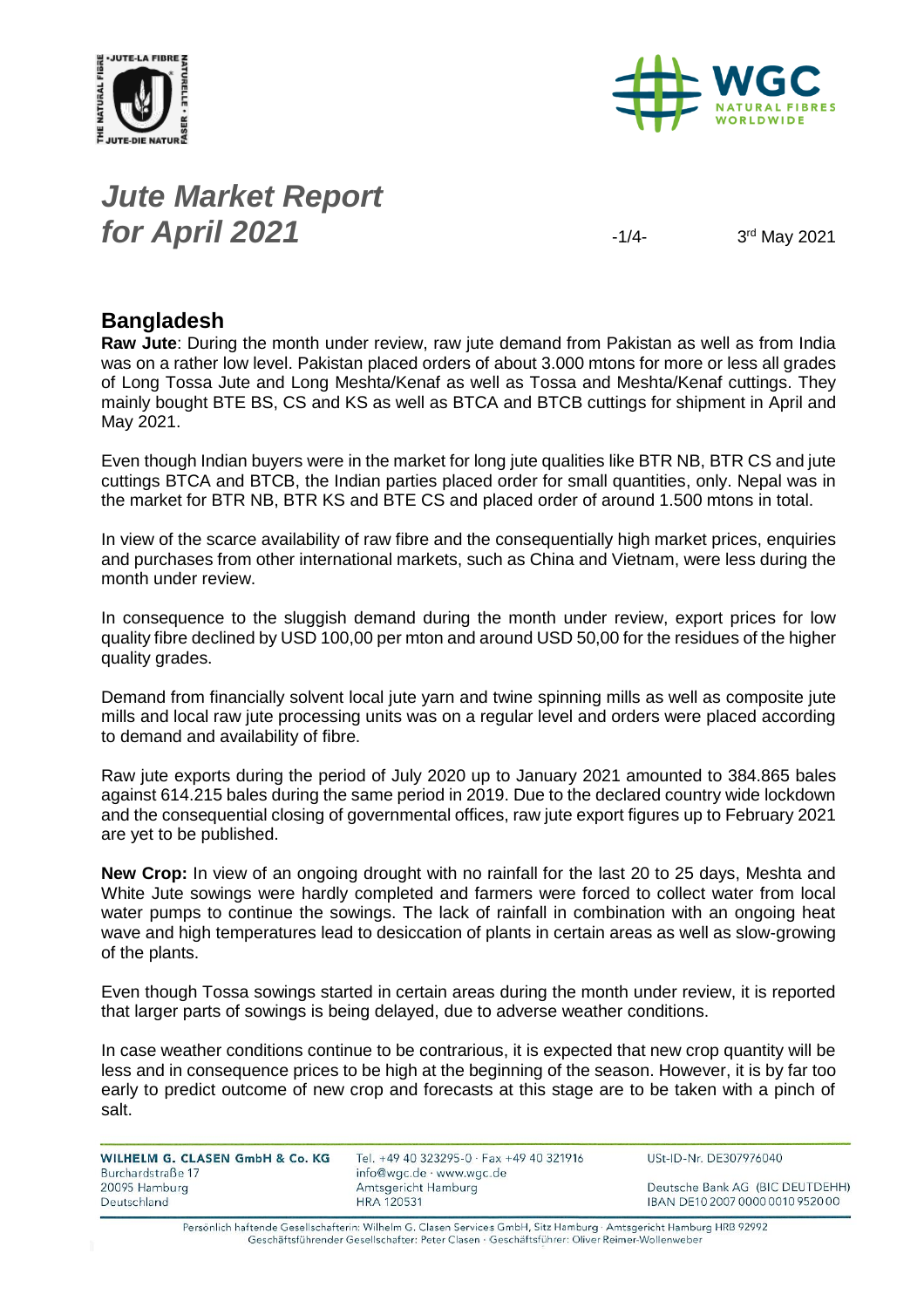



### *Jute Market Report for April 2021*  $\frac{1}{4}$

3rd May 2021

#### **Bangladesh**

**Raw Jute**: During the month under review, raw jute demand from Pakistan as well as from India was on a rather low level. Pakistan placed orders of about 3.000 mtons for more or less all grades of Long Tossa Jute and Long Meshta/Kenaf as well as Tossa and Meshta/Kenaf cuttings. They mainly bought BTE BS, CS and KS as well as BTCA and BTCB cuttings for shipment in April and May 2021.

Even though Indian buyers were in the market for long jute qualities like BTR NB, BTR CS and jute cuttings BTCA and BTCB, the Indian parties placed order for small quantities, only. Nepal was in the market for BTR NB, BTR KS and BTE CS and placed order of around 1.500 mtons in total.

In view of the scarce availability of raw fibre and the consequentially high market prices, enquiries and purchases from other international markets, such as China and Vietnam, were less during the month under review.

In consequence to the sluggish demand during the month under review, export prices for low quality fibre declined by USD 100,00 per mton and around USD 50,00 for the residues of the higher quality grades.

Demand from financially solvent local jute yarn and twine spinning mills as well as composite jute mills and local raw jute processing units was on a regular level and orders were placed according to demand and availability of fibre.

Raw jute exports during the period of July 2020 up to January 2021 amounted to 384.865 bales against 614.215 bales during the same period in 2019. Due to the declared country wide lockdown and the consequential closing of governmental offices, raw jute export figures up to February 2021 are yet to be published.

**New Crop:** In view of an ongoing drought with no rainfall for the last 20 to 25 days, Meshta and White Jute sowings were hardly completed and farmers were forced to collect water from local water pumps to continue the sowings. The lack of rainfall in combination with an ongoing heat wave and high temperatures lead to desiccation of plants in certain areas as well as slow-growing of the plants.

Even though Tossa sowings started in certain areas during the month under review, it is reported that larger parts of sowings is being delayed, due to adverse weather conditions.

In case weather conditions continue to be contrarious, it is expected that new crop quantity will be less and in consequence prices to be high at the beginning of the season. However, it is by far too early to predict outcome of new crop and forecasts at this stage are to be taken with a pinch of salt.

| WILHELM G. CLASEN GmbH & Co. KG | Tel. +49 40 323295-0 $\cdot$ Fax +49 40 321916 | USt-ID-Nr. DE307976040           |
|---------------------------------|------------------------------------------------|----------------------------------|
| Burchardstraße 17               | info@wgc.de · www.wgc.de                       |                                  |
| 20095 Hamburg                   | Amtsgericht Hamburg                            | Deutsche Bank AG (BIC DEUTDEHH)  |
| Deutschland                     | <b>HRA 120531</b>                              | IBAN DE10 2007 0000 0010 9520 00 |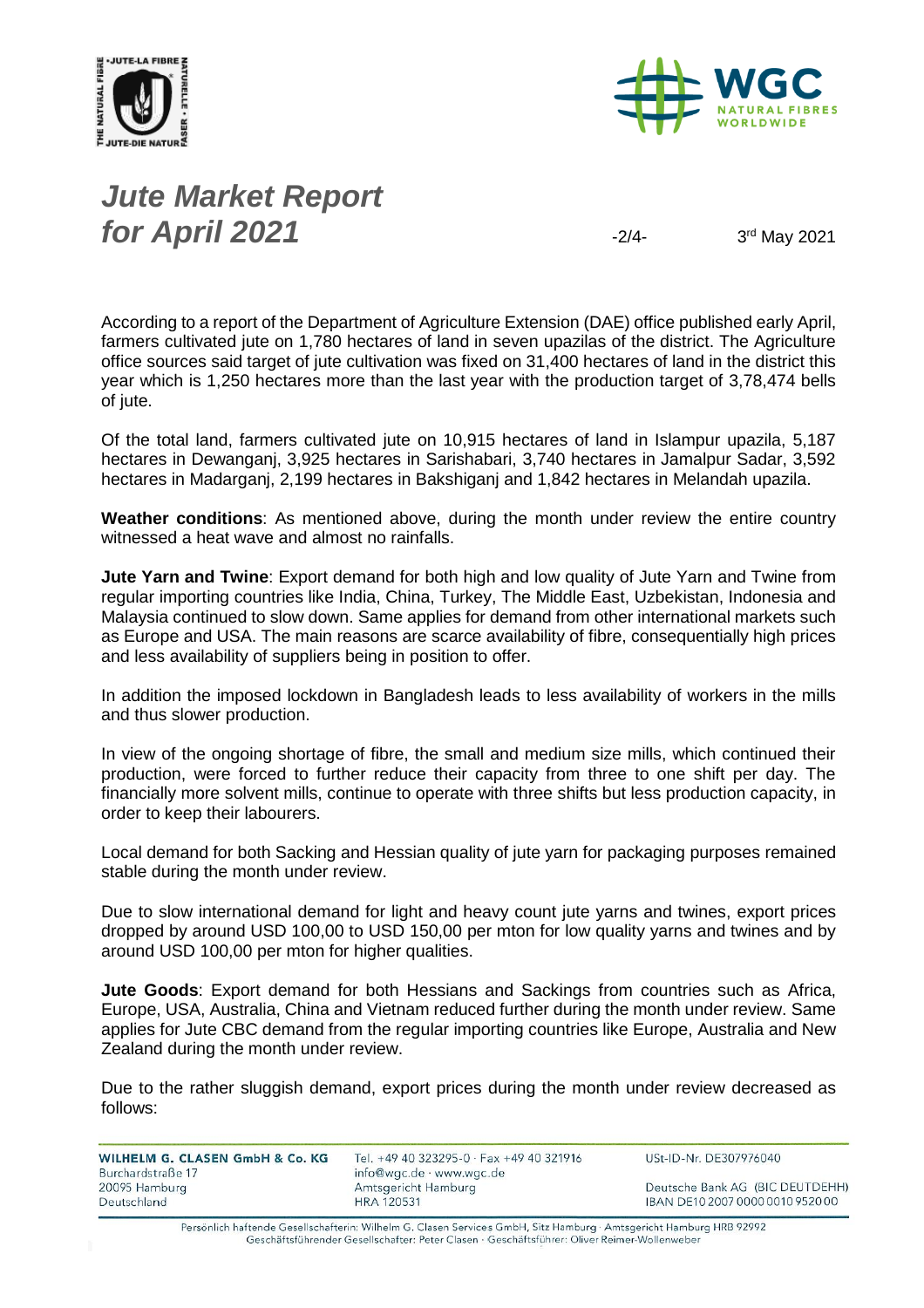



# *Jute Market Report for April 2021*  $\frac{3}{2}$

3rd May 2021

According to a report of the Department of Agriculture Extension (DAE) office published early April, farmers cultivated jute on 1,780 hectares of land in seven upazilas of the district. The Agriculture office sources said target of jute cultivation was fixed on 31,400 hectares of land in the district this year which is 1,250 hectares more than the last year with the production target of 3,78,474 bells of jute.

Of the total land, farmers cultivated jute on 10,915 hectares of land in Islampur upazila, 5,187 hectares in Dewanganj, 3,925 hectares in Sarishabari, 3,740 hectares in Jamalpur Sadar, 3,592 hectares in Madarganj, 2,199 hectares in Bakshiganj and 1,842 hectares in Melandah upazila.

**Weather conditions**: As mentioned above, during the month under review the entire country witnessed a heat wave and almost no rainfalls.

**Jute Yarn and Twine**: Export demand for both high and low quality of Jute Yarn and Twine from regular importing countries like India, China, Turkey, The Middle East, Uzbekistan, Indonesia and Malaysia continued to slow down. Same applies for demand from other international markets such as Europe and USA. The main reasons are scarce availability of fibre, consequentially high prices and less availability of suppliers being in position to offer.

In addition the imposed lockdown in Bangladesh leads to less availability of workers in the mills and thus slower production.

In view of the ongoing shortage of fibre, the small and medium size mills, which continued their production, were forced to further reduce their capacity from three to one shift per day. The financially more solvent mills, continue to operate with three shifts but less production capacity, in order to keep their labourers.

Local demand for both Sacking and Hessian quality of jute yarn for packaging purposes remained stable during the month under review.

Due to slow international demand for light and heavy count jute yarns and twines, export prices dropped by around USD 100,00 to USD 150,00 per mton for low quality yarns and twines and by around USD 100,00 per mton for higher qualities.

**Jute Goods**: Export demand for both Hessians and Sackings from countries such as Africa, Europe, USA, Australia, China and Vietnam reduced further during the month under review. Same applies for Jute CBC demand from the regular importing countries like Europe, Australia and New Zealand during the month under review.

Due to the rather sluggish demand, export prices during the month under review decreased as follows:

WILHELM G. CLASEN GmbH & Co. KG Burchardstraße 17 20095 Hamburg Deutschland

Tel. +49 40 323295-0 · Fax +49 40 321916 info@wgc.de · www.wgc.de Amtsgericht Hamburg **HRA 120531** 

USt-ID-Nr. DE307976040

Deutsche Bank AG (BIC DEUTDEHH) IBAN DE10 2007 0000 0010 9520 00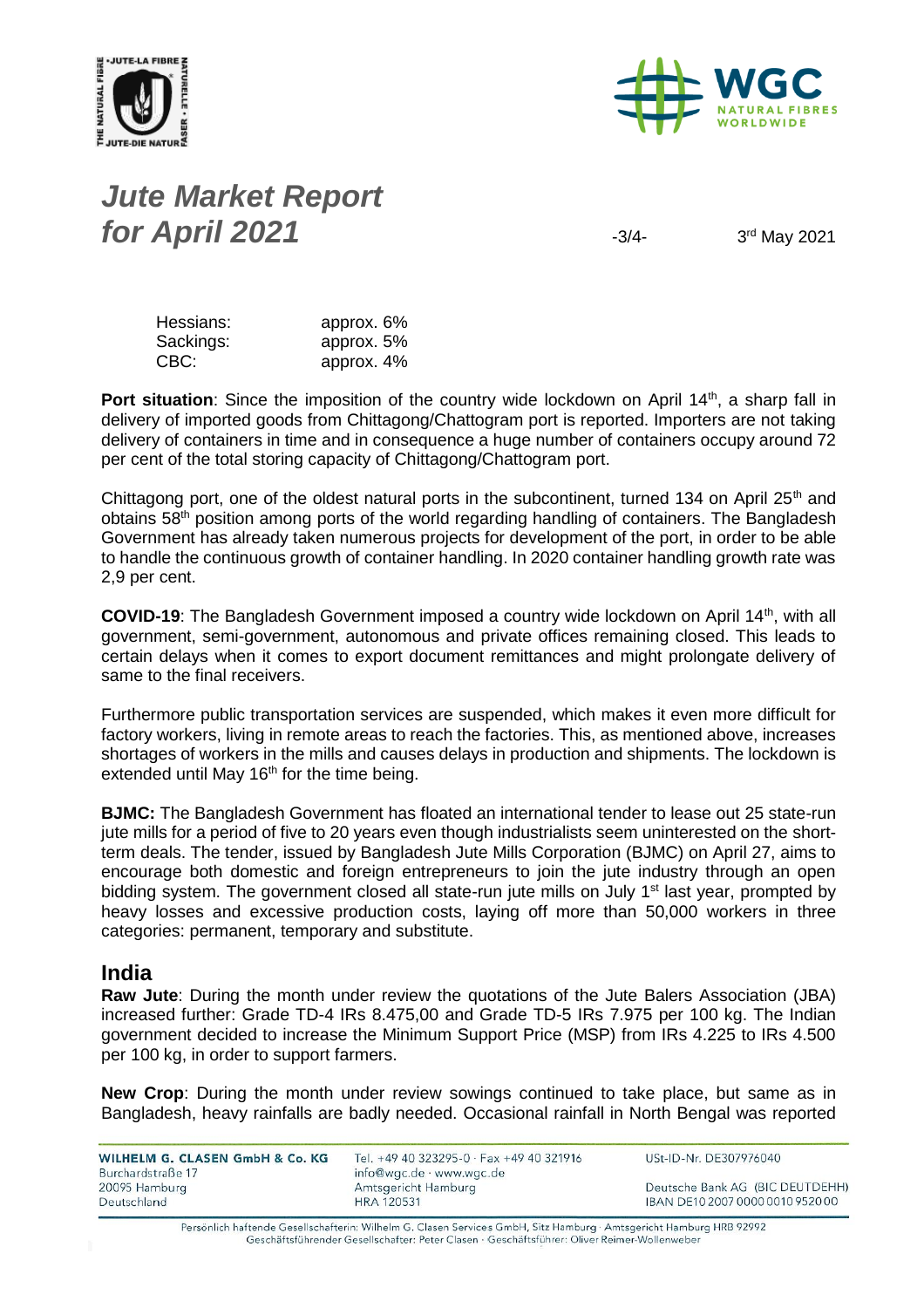



# *Jute Market Report for April 2021*  $\frac{3}{4}$

3rd May 2021

| Hessians: | approx. 6% |
|-----------|------------|
| Sackings: | approx. 5% |
| CBC:      | approx. 4% |

Port situation: Since the imposition of the country wide lockdown on April 14<sup>th</sup>, a sharp fall in delivery of imported goods from Chittagong/Chattogram port is reported. Importers are not taking delivery of containers in time and in consequence a huge number of containers occupy around 72 per cent of the total storing capacity of Chittagong/Chattogram port.

Chittagong port, one of the oldest natural ports in the subcontinent, turned 134 on April 25<sup>th</sup> and obtains 58<sup>th</sup> position among ports of the world regarding handling of containers. The Bangladesh Government has already taken numerous projects for development of the port, in order to be able to handle the continuous growth of container handling. In 2020 container handling growth rate was 2,9 per cent.

**COVID-19**: The Bangladesh Government imposed a country wide lockdown on April 14<sup>th</sup>, with all government, semi-government, autonomous and private offices remaining closed. This leads to certain delays when it comes to export document remittances and might prolongate delivery of same to the final receivers.

Furthermore public transportation services are suspended, which makes it even more difficult for factory workers, living in remote areas to reach the factories. This, as mentioned above, increases shortages of workers in the mills and causes delays in production and shipments. The lockdown is extended until May 16<sup>th</sup> for the time being.

**BJMC:** The Bangladesh Government has floated an international tender to lease out 25 state-run jute mills for a period of five to 20 years even though industrialists seem uninterested on the shortterm deals. The tender, issued by Bangladesh Jute Mills Corporation (BJMC) on April 27, aims to encourage both domestic and foreign entrepreneurs to join the jute industry through an open bidding system. The government closed all state-run jute mills on July 1<sup>st</sup> last year, prompted by heavy losses and excessive production costs, laying off more than 50,000 workers in three categories: permanent, temporary and substitute.

#### **India**

**Raw Jute**: During the month under review the quotations of the Jute Balers Association (JBA) increased further: Grade TD-4 IRs 8.475,00 and Grade TD-5 IRs 7.975 per 100 kg. The Indian government decided to increase the Minimum Support Price (MSP) from IRs 4.225 to IRs 4.500 per 100 kg, in order to support farmers.

**New Crop**: During the month under review sowings continued to take place, but same as in Bangladesh, heavy rainfalls are badly needed. Occasional rainfall in North Bengal was reported

| WILHELM G. CLASEN GmbH & Co. KG | Tel. +49 40 323295-0 · Fax +49 40 321916 | USt-ID-Nr. DE307976040           |
|---------------------------------|------------------------------------------|----------------------------------|
| Burchardstraße 17               | info@wgc.de · www.wgc.de                 |                                  |
| 20095 Hamburg                   | Amtsgericht Hamburg                      | Deutsche Bank AG (BIC DEUTDEHH)  |
| Deutschland                     | HRA 120531                               | IBAN DE10 2007 0000 0010 9520 00 |